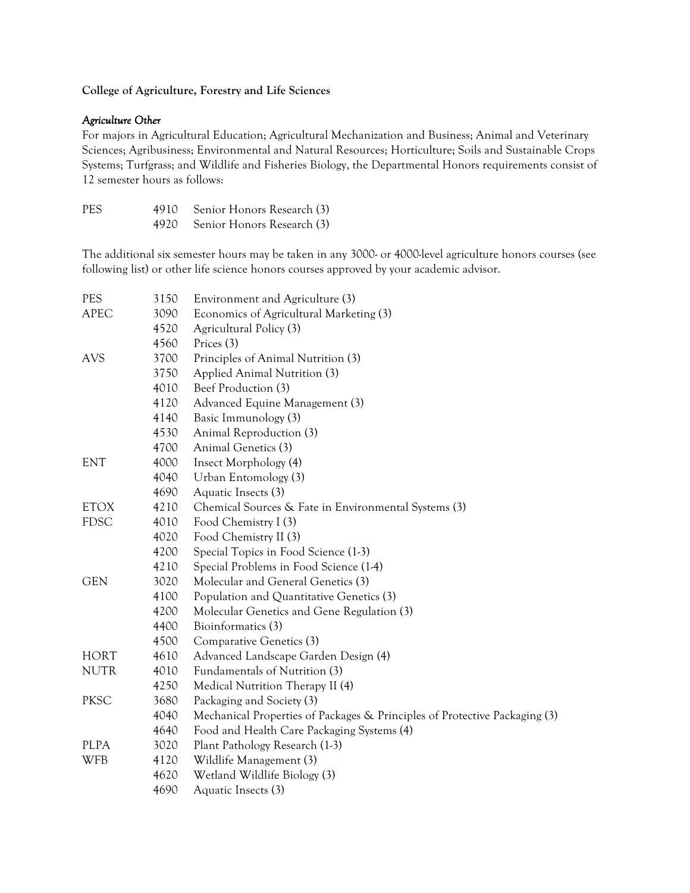## **College of Agriculture, Forestry and Life Sciences**

#### *Agriculture Other*

For majors in Agricultural Education; Agricultural Mechanization and Business; Animal and Veterinary Sciences; Agribusiness; Environmental and Natural Resources; Horticulture; Soils and Sustainable Crops Systems; Turfgrass; and Wildlife and Fisheries Biology, the Departmental Honors requirements consist of 12 semester hours as follows:

| PES. | 4910 Senior Honors Research (3) |
|------|---------------------------------|
|      | 4920 Senior Honors Research (3) |

The additional six semester hours may be taken in any 3000- or 4000-level agriculture honors courses (see following list) or other life science honors courses approved by your academic advisor.

| <b>PES</b>  | 3150 | Environment and Agriculture (3)                                            |
|-------------|------|----------------------------------------------------------------------------|
| <b>APEC</b> | 3090 | Economics of Agricultural Marketing (3)                                    |
|             | 4520 | Agricultural Policy (3)                                                    |
|             | 4560 | Prices (3)                                                                 |
| <b>AVS</b>  | 3700 | Principles of Animal Nutrition (3)                                         |
|             | 3750 | Applied Animal Nutrition (3)                                               |
|             | 4010 | Beef Production (3)                                                        |
|             | 4120 | Advanced Equine Management (3)                                             |
|             | 4140 | Basic Immunology (3)                                                       |
|             | 4530 | Animal Reproduction (3)                                                    |
|             | 4700 | Animal Genetics (3)                                                        |
| <b>ENT</b>  | 4000 | Insect Morphology (4)                                                      |
|             | 4040 | Urban Entomology (3)                                                       |
|             | 4690 | Aquatic Insects (3)                                                        |
| <b>ETOX</b> | 4210 | Chemical Sources & Fate in Environmental Systems (3)                       |
| <b>FDSC</b> | 4010 | Food Chemistry I (3)                                                       |
|             | 4020 | Food Chemistry II (3)                                                      |
|             | 4200 | Special Topics in Food Science (1-3)                                       |
|             | 4210 | Special Problems in Food Science (1-4)                                     |
| <b>GEN</b>  | 3020 | Molecular and General Genetics (3)                                         |
|             | 4100 | Population and Quantitative Genetics (3)                                   |
|             | 4200 | Molecular Genetics and Gene Regulation (3)                                 |
|             | 4400 | Bioinformatics (3)                                                         |
|             | 4500 | Comparative Genetics (3)                                                   |
| <b>HORT</b> | 4610 | Advanced Landscape Garden Design (4)                                       |
| <b>NUTR</b> | 4010 | Fundamentals of Nutrition (3)                                              |
|             | 4250 | Medical Nutrition Therapy II (4)                                           |
| <b>PKSC</b> | 3680 | Packaging and Society (3)                                                  |
|             | 4040 | Mechanical Properties of Packages & Principles of Protective Packaging (3) |
|             | 4640 | Food and Health Care Packaging Systems (4)                                 |
| <b>PLPA</b> | 3020 | Plant Pathology Research (1-3)                                             |
| <b>WFB</b>  | 4120 | Wildlife Management (3)                                                    |
|             | 4620 | Wetland Wildlife Biology (3)                                               |
|             | 4690 | Aquatic Insects (3)                                                        |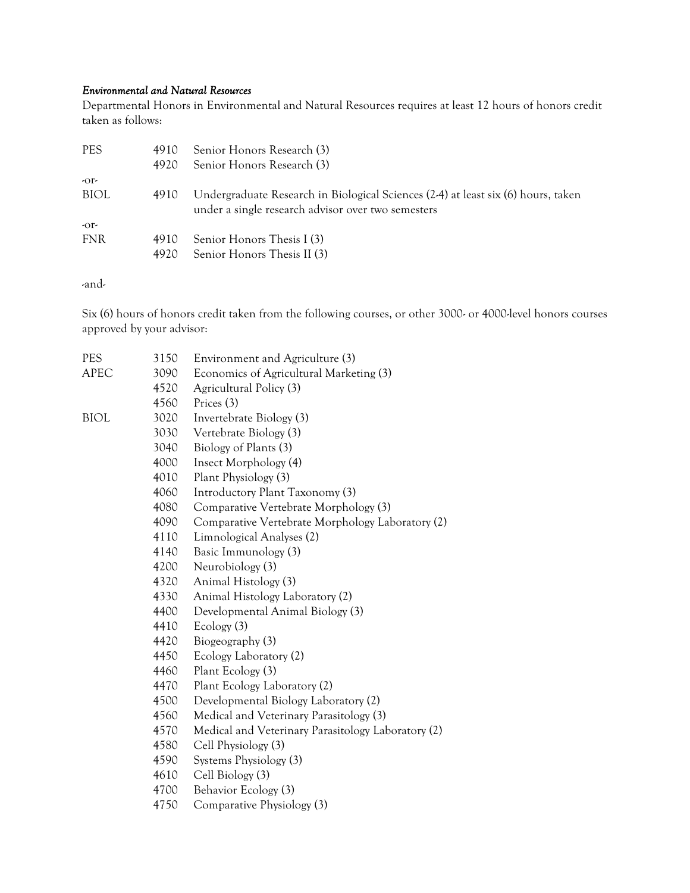## *Environmental and Natural Resources*

Departmental Honors in Environmental and Natural Resources requires at least 12 hours of honors credit taken as follows:

| <b>PES</b> | 4910 | Senior Honors Research (3)                                                                                                              |
|------------|------|-----------------------------------------------------------------------------------------------------------------------------------------|
|            | 4920 | Senior Honors Research (3)                                                                                                              |
| $-0r$      |      |                                                                                                                                         |
| BIOL       | 4910 | Undergraduate Research in Biological Sciences (2-4) at least six (6) hours, taken<br>under a single research advisor over two semesters |
| $-0r$      |      |                                                                                                                                         |
| <b>FNR</b> | 4910 | Senior Honors Thesis I (3)                                                                                                              |
|            | 4920 | Senior Honors Thesis II (3)                                                                                                             |

-and-

Six (6) hours of honors credit taken from the following courses, or other 3000- or 4000-level honors courses approved by your advisor:

| <b>PES</b>  | 3150 | Environment and Agriculture (3)                    |
|-------------|------|----------------------------------------------------|
| <b>APEC</b> | 3090 | Economics of Agricultural Marketing (3)            |
|             | 4520 | Agricultural Policy (3)                            |
|             | 4560 | Prices (3)                                         |
| BIOL        | 3020 | Invertebrate Biology (3)                           |
|             | 3030 | Vertebrate Biology (3)                             |
|             | 3040 | Biology of Plants (3)                              |
|             | 4000 | Insect Morphology (4)                              |
|             | 4010 | Plant Physiology (3)                               |
|             | 4060 | Introductory Plant Taxonomy (3)                    |
|             | 4080 | Comparative Vertebrate Morphology (3)              |
|             | 4090 | Comparative Vertebrate Morphology Laboratory (2)   |
|             | 4110 | Limnological Analyses (2)                          |
|             | 4140 | Basic Immunology (3)                               |
|             | 4200 | Neurobiology (3)                                   |
|             | 4320 | Animal Histology (3)                               |
|             | 4330 | Animal Histology Laboratory (2)                    |
|             | 4400 | Developmental Animal Biology (3)                   |
|             | 4410 | Ecology (3)                                        |
|             | 4420 | Biogeography (3)                                   |
|             | 4450 | Ecology Laboratory (2)                             |
|             | 4460 | Plant Ecology (3)                                  |
|             | 4470 | Plant Ecology Laboratory (2)                       |
|             | 4500 | Developmental Biology Laboratory (2)               |
|             | 4560 | Medical and Veterinary Parasitology (3)            |
|             | 4570 | Medical and Veterinary Parasitology Laboratory (2) |
|             | 4580 | Cell Physiology (3)                                |
|             | 4590 | Systems Physiology (3)                             |
|             | 4610 | Cell Biology (3)                                   |
|             | 4700 | Behavior Ecology (3)                               |
|             | 4750 | Comparative Physiology (3)                         |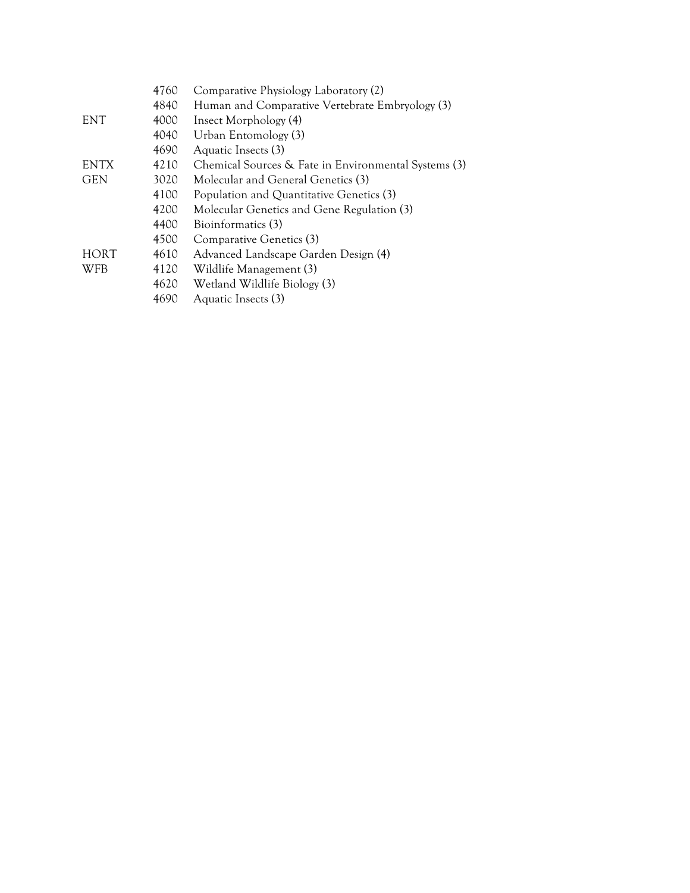|             | 4760<br>4840 | Comparative Physiology Laboratory (2)<br>Human and Comparative Vertebrate Embryology (3) |
|-------------|--------------|------------------------------------------------------------------------------------------|
| <b>ENT</b>  | 4000         | Insect Morphology (4)                                                                    |
|             | 4040         | Urban Entomology (3)                                                                     |
|             | 4690         | Aquatic Insects (3)                                                                      |
| <b>ENTX</b> | 4210         | Chemical Sources & Fate in Environmental Systems (3)                                     |
| <b>GEN</b>  | 3020         | Molecular and General Genetics (3)                                                       |
|             | 4100         | Population and Quantitative Genetics (3)                                                 |
|             | 4200         | Molecular Genetics and Gene Regulation (3)                                               |
|             | 4400         | Bioinformatics (3)                                                                       |
|             | 4500         | Comparative Genetics (3)                                                                 |
| <b>HORT</b> | 4610         | Advanced Landscape Garden Design (4)                                                     |
| <b>WFB</b>  | 4120         | Wildlife Management (3)                                                                  |
|             | 4620         | Wetland Wildlife Biology (3)                                                             |
|             | 4690         | Aquatic Insects (3)                                                                      |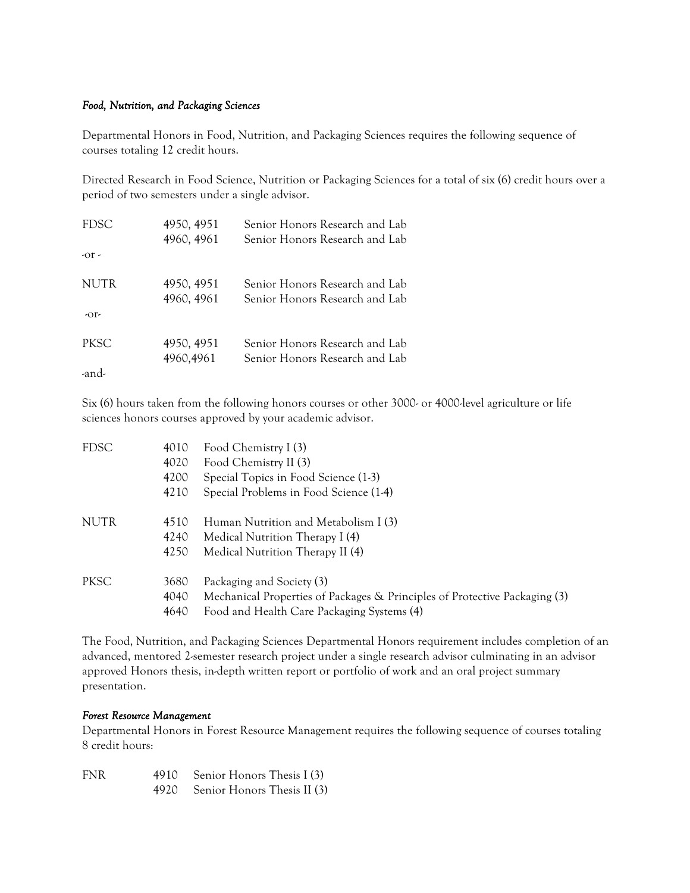# *Food, Nutrition, and Packaging Sciences*

Departmental Honors in Food, Nutrition, and Packaging Sciences requires the following sequence of courses totaling 12 credit hours.

Directed Research in Food Science, Nutrition or Packaging Sciences for a total of six (6) credit hours over a period of two semesters under a single advisor.

| <b>FDSC</b> | 4950, 4951 | Senior Honors Research and Lab |
|-------------|------------|--------------------------------|
|             | 4960, 4961 | Senior Honors Research and Lab |
| $-0r$       |            |                                |
| NUTR        | 4950, 4951 | Senior Honors Research and Lab |
|             | 4960, 4961 | Senior Honors Research and Lab |
| $-Or-$      |            |                                |
| <b>PKSC</b> | 4950, 4951 | Senior Honors Research and Lab |
|             | 4960,4961  | Senior Honors Research and Lab |
| -and-       |            |                                |

Six (6) hours taken from the following honors courses or other 3000- or 4000-level agriculture or life sciences honors courses approved by your academic advisor.

| <b>FDSC</b> | 4010 | Food Chemistry I (3)                                                       |
|-------------|------|----------------------------------------------------------------------------|
|             | 4020 | Food Chemistry II (3)                                                      |
|             | 4200 | Special Topics in Food Science (1-3)                                       |
|             | 4210 | Special Problems in Food Science (1-4)                                     |
| <b>NUTR</b> | 4510 | Human Nutrition and Metabolism I (3)                                       |
|             | 4240 | Medical Nutrition Therapy I (4)                                            |
|             | 4250 | Medical Nutrition Therapy II (4)                                           |
| PKSC        | 3680 | Packaging and Society (3)                                                  |
|             | 4040 | Mechanical Properties of Packages & Principles of Protective Packaging (3) |
|             | 4640 | Food and Health Care Packaging Systems (4)                                 |

The Food, Nutrition, and Packaging Sciences Departmental Honors requirement includes completion of an advanced, mentored 2-semester research project under a single research advisor culminating in an advisor approved Honors thesis, in-depth written report or portfolio of work and an oral project summary presentation.

#### *Forest Resource Management*

Departmental Honors in Forest Resource Management requires the following sequence of courses totaling 8 credit hours:

| <b>FNR</b> | 4910 Senior Honors Thesis I (3)  |
|------------|----------------------------------|
|            | 4920 Senior Honors Thesis II (3) |